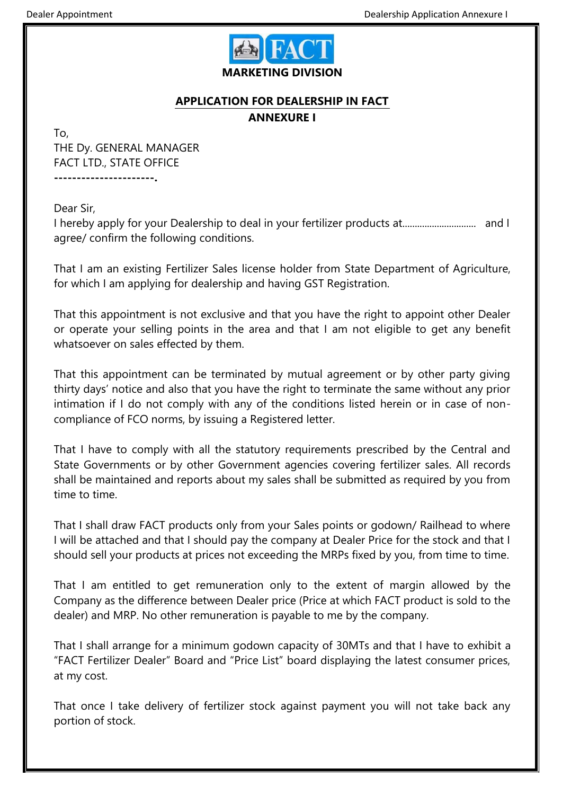

## **APPLICATION FOR DEALERSHIP IN FACT**

**ANNEXURE I**

To, THE Dy. GENERAL MANAGER FACT LTD., STATE OFFICE **----------------------.**

Dear Sir,

I hereby apply for your Dealership to deal in your fertilizer products at.............................. and I agree/ confirm the following conditions.

That I am an existing Fertilizer Sales license holder from State Department of Agriculture, for which I am applying for dealership and having GST Registration.

That this appointment is not exclusive and that you have the right to appoint other Dealer or operate your selling points in the area and that I am not eligible to get any benefit whatsoever on sales effected by them.

That this appointment can be terminated by mutual agreement or by other party giving thirty days' notice and also that you have the right to terminate the same without any prior intimation if I do not comply with any of the conditions listed herein or in case of noncompliance of FCO norms, by issuing a Registered letter.

That I have to comply with all the statutory requirements prescribed by the Central and State Governments or by other Government agencies covering fertilizer sales. All records shall be maintained and reports about my sales shall be submitted as required by you from time to time.

That I shall draw FACT products only from your Sales points or godown/ Railhead to where I will be attached and that I should pay the company at Dealer Price for the stock and that I should sell your products at prices not exceeding the MRPs fixed by you, from time to time.

That I am entitled to get remuneration only to the extent of margin allowed by the Company as the difference between Dealer price (Price at which FACT product is sold to the dealer) and MRP. No other remuneration is payable to me by the company.

That I shall arrange for a minimum godown capacity of 30MTs and that I have to exhibit a "FACT Fertilizer Dealer" Board and "Price List" board displaying the latest consumer prices, at my cost.

That once I take delivery of fertilizer stock against payment you will not take back any portion of stock.